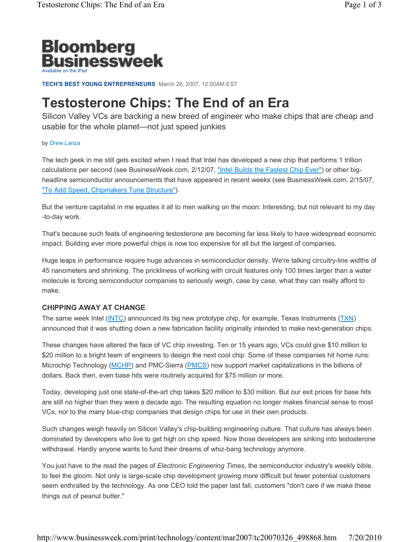

**TECH'S BEST YOUNG ENTREPRENEURS** March 26, 2007, 12:00AM EST

# **Testosterone Chips: The End of an Era**

Silicon Valley VCs are backing a new breed of engineer who make chips that are cheap and usable for the whole planet—not just speed junkies

## by Drew Lanza

The tech geek in me still gets excited when I read that Intel has developed a new chip that performs 1 trillion calculations per second (see BusinessWeek.com, 2/12/07, "Intel Builds the Fastest Chip Ever") or other bigheadline semiconductor announcements that have appeared in recent weeks (see BusinessWeek.com, 2/15/07, "To Add Speed, Chipmakers Tune Structure").

But the venture capitalist in me equates it all to men walking on the moon: Interesting, but not relevant to my day -to-day work.

That's because such feats of engineering testosterone are becoming far less likely to have widespread economic impact. Building ever more powerful chips is now too expensive for all but the largest of companies.

Huge leaps in performance require huge advances in semiconductor density. We're talking circuitry-line widths of 45 nanometers and shrinking. The prickliness of working with circuit features only 100 times larger than a water molecule is forcing semiconductor companies to seriously weigh, case by case, what they can really afford to make.

## **CHIPPING AWAY AT CHANGE**

The same week Intel ( $\overline{INTC}$ ) announced its big new prototype chip, for example, Texas Instruments  $(TXN)$ announced that it was shutting down a new fabrication facility originally intended to make next-generation chips.

These changes have altered the face of VC chip investing. Ten or 15 years ago, VCs could give \$10 million to \$20 million to a bright team of engineers to design the next cool chip. Some of these companies hit home runs: Microchip Technology (MCHP) and PMC-Sierra (PMCS) now support market capitalizations in the billions of dollars. Back then, even base hits were routinely acquired for \$75 million or more.

Today, developing just one state-of-the-art chip takes \$20 million to \$30 million. But our exit prices for base hits are still no higher than they were a decade ago. The resulting equation no longer makes financial sense to most VCs, nor to the many blue-chip companies that design chips for use in their own products.

Such changes weigh heavily on Silicon Valley's chip-building engineering culture. That culture has always been dominated by developers who live to get high on chip speed. Now those developers are sinking into testosterone withdrawal. Hardly anyone wants to fund their dreams of whiz-bang technology anymore.

You just have to the read the pages of *Electronic Engineering Times*, the semiconductor industry's weekly bible, to feel the gloom. Not only is large-scale chip development growing more difficult but fewer potential customers seem enthralled by the technology. As one CEO told the paper last fall, customers "don't care if we make these things out of peanut butter."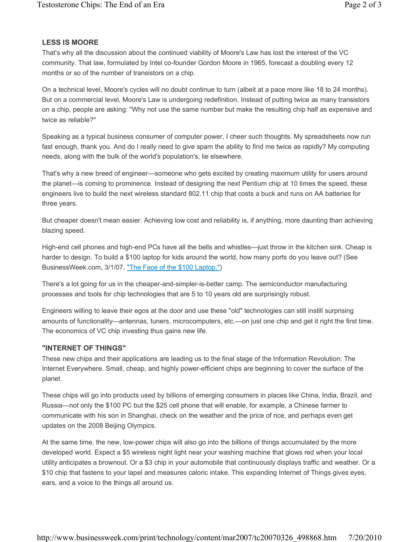## **LESS IS MOORE**

That's why all the discussion about the continued viability of Moore's Law has lost the interest of the VC community. That law, formulated by Intel co-founder Gordon Moore in 1965, forecast a doubling every 12 months or so of the number of transistors on a chip.

On a technical level, Moore's cycles will no doubt continue to turn (albeit at a pace more like 18 to 24 months). But on a commercial level, Moore's Law is undergoing redefinition. Instead of putting twice as many transistors on a chip, people are asking: "Why not use the same number but make the resulting chip half as expensive and twice as reliable?"

Speaking as a typical business consumer of computer power, I cheer such thoughts. My spreadsheets now run fast enough, thank you. And do I really need to give spam the ability to find me twice as rapidly? My computing needs, along with the bulk of the world's population's, lie elsewhere.

That's why a new breed of engineer—someone who gets excited by creating maximum utility for users around the planet—is coming to prominence. Instead of designing the next Pentium chip at 10 times the speed, these engineers live to build the next wireless standard 802.11 chip that costs a buck and runs on AA batteries for three years.

But cheaper doesn't mean easier. Achieving low cost and reliability is, if anything, more daunting than achieving blazing speed.

High-end cell phones and high-end PCs have all the bells and whistles—just throw in the kitchen sink. Cheap is harder to design. To build a \$100 laptop for kids around the world, how many ports do you leave out? (See BusinessWeek.com, 3/1/07, "The Face of the \$100 Laptop.")

There's a lot going for us in the cheaper-and-simpler-is-better camp. The semiconductor manufacturing processes and tools for chip technologies that are 5 to 10 years old are surprisingly robust.

Engineers willing to leave their egos at the door and use these "old" technologies can still instill surprising amounts of functionality—antennas, tuners, microcomputers, etc.—on just one chip and get it right the first time. The economics of VC chip investing thus gains new life.

#### **"INTERNET OF THINGS"**

These new chips and their applications are leading us to the final stage of the Information Revolution: The Internet Everywhere. Small, cheap, and highly power-efficient chips are beginning to cover the surface of the planet.

These chips will go into products used by billions of emerging consumers in places like China, India, Brazil, and Russia—not only the \$100 PC but the \$25 cell phone that will enable, for example, a Chinese farmer to communicate with his son in Shanghai, check on the weather and the price of rice, and perhaps even get updates on the 2008 Beijing Olympics.

At the same time, the new, low-power chips will also go into the billions of things accumulated by the more developed world. Expect a \$5 wireless night light near your washing machine that glows red when your local utility anticipates a brownout. Or a \$3 chip in your automobile that continuously displays traffic and weather. Or a \$10 chip that fastens to your lapel and measures caloric intake. This expanding Internet of Things gives eyes, ears, and a voice to the things all around us.